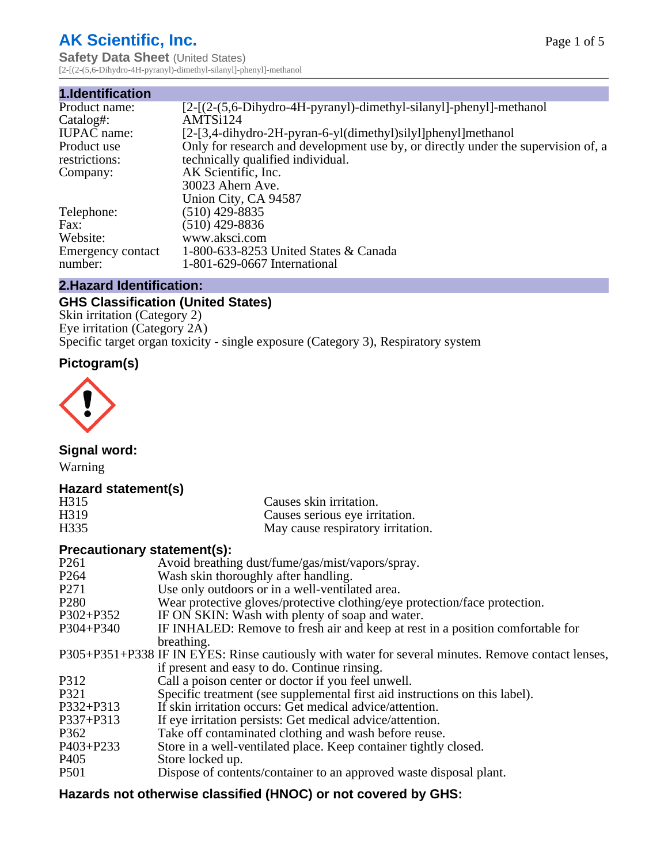# **AK Scientific, Inc.**

**Safety Data Sheet (United States)** [2-[(2-(5,6-Dihydro-4H-pyranyl)-dimethyl-silanyl]-phenyl]-methanol

| 1.Identification   |                                                                                   |
|--------------------|-----------------------------------------------------------------------------------|
| Product name:      | [2-[(2-(5,6-Dihydro-4H-pyranyl)-dimethyl-silanyl]-phenyl]-methanol                |
| Catalog#:          | AMTSi124                                                                          |
| <b>IUPAC</b> name: | [2-[3,4-dihydro-2H-pyran-6-yl(dimethyl)silyl]phenyl]methanol                      |
| Product use        | Only for research and development use by, or directly under the supervision of, a |
| restrictions:      | technically qualified individual.                                                 |
| Company:           | AK Scientific, Inc.                                                               |
|                    | 30023 Ahern Ave.                                                                  |
|                    | Union City, CA 94587                                                              |
| Telephone:         | $(510)$ 429-8835                                                                  |
| Fax:               | $(510)$ 429-8836                                                                  |
| Website:           | www.aksci.com                                                                     |
| Emergency contact  | 1-800-633-8253 United States & Canada                                             |
| number:            | 1-801-629-0667 International                                                      |

# **2.Hazard Identification:**

# **GHS Classification (United States)**

Skin irritation (Category 2) Eye irritation (Category 2A) Specific target organ toxicity - single exposure (Category 3), Respiratory system

# **Pictogram(s)**



**Signal word:**

Warning

# **Hazard statement(s)**

| H <sub>315</sub>  | Causes skin irritation.           |
|-------------------|-----------------------------------|
| H <sub>3</sub> 19 | Causes serious eye irritation.    |
| H335              | May cause respiratory irritation. |

# **Precautionary statement(s):**

| P <sub>261</sub> | Avoid breathing dust/fume/gas/mist/vapors/spray.                                                   |
|------------------|----------------------------------------------------------------------------------------------------|
| P <sub>264</sub> | Wash skin thoroughly after handling.                                                               |
| P <sub>271</sub> | Use only outdoors or in a well-ventilated area.                                                    |
| P <sub>280</sub> | Wear protective gloves/protective clothing/eye protection/face protection.                         |
| P302+P352        | IF ON SKIN: Wash with plenty of soap and water.                                                    |
| $P304 + P340$    | IF INHALED: Remove to fresh air and keep at rest in a position comfortable for                     |
|                  | breathing.                                                                                         |
|                  | P305+P351+P338 IF IN EYES: Rinse cautiously with water for several minutes. Remove contact lenses, |
|                  | if present and easy to do. Continue rinsing.                                                       |
| P312             | Call a poison center or doctor if you feel unwell.                                                 |
| P321             | Specific treatment (see supplemental first aid instructions on this label).                        |
| P332+P313        | If skin irritation occurs: Get medical advice/attention.                                           |
| P337+P313        | If eye irritation persists: Get medical advice/attention.                                          |
| P362             | Take off contaminated clothing and wash before reuse.                                              |
| $P403 + P233$    | Store in a well-ventilated place. Keep container tightly closed.                                   |
| P <sub>405</sub> | Store locked up.                                                                                   |
| <b>P501</b>      | Dispose of contents/container to an approved waste disposal plant.                                 |
|                  |                                                                                                    |

# **Hazards not otherwise classified (HNOC) or not covered by GHS:**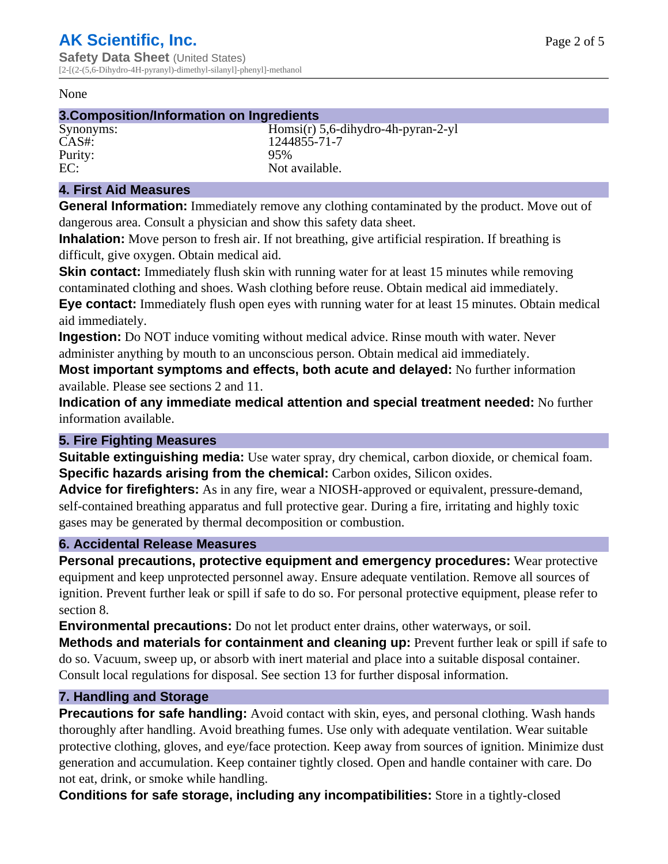#### None

#### **3.Composition/Information on Ingredients**

# Purity: 95%<br>EC: Not

Synonyms: Homsi(r) 5,6-dihydro-4h-pyran-2-yl CAS#: 1244855-71-7 Not available.

#### **4. First Aid Measures**

**General Information:** Immediately remove any clothing contaminated by the product. Move out of dangerous area. Consult a physician and show this safety data sheet.

**Inhalation:** Move person to fresh air. If not breathing, give artificial respiration. If breathing is difficult, give oxygen. Obtain medical aid.

**Skin contact:** Immediately flush skin with running water for at least 15 minutes while removing contaminated clothing and shoes. Wash clothing before reuse. Obtain medical aid immediately. **Eye contact:** Immediately flush open eyes with running water for at least 15 minutes. Obtain medical aid immediately.

**Ingestion:** Do NOT induce vomiting without medical advice. Rinse mouth with water. Never administer anything by mouth to an unconscious person. Obtain medical aid immediately.

**Most important symptoms and effects, both acute and delayed:** No further information available. Please see sections 2 and 11.

**Indication of any immediate medical attention and special treatment needed:** No further information available.

# **5. Fire Fighting Measures**

**Suitable extinguishing media:** Use water spray, dry chemical, carbon dioxide, or chemical foam. **Specific hazards arising from the chemical:** Carbon oxides, Silicon oxides.

**Advice for firefighters:** As in any fire, wear a NIOSH-approved or equivalent, pressure-demand, self-contained breathing apparatus and full protective gear. During a fire, irritating and highly toxic gases may be generated by thermal decomposition or combustion.

# **6. Accidental Release Measures**

**Personal precautions, protective equipment and emergency procedures:** Wear protective equipment and keep unprotected personnel away. Ensure adequate ventilation. Remove all sources of ignition. Prevent further leak or spill if safe to do so. For personal protective equipment, please refer to section 8.

**Environmental precautions:** Do not let product enter drains, other waterways, or soil.

**Methods and materials for containment and cleaning up:** Prevent further leak or spill if safe to do so. Vacuum, sweep up, or absorb with inert material and place into a suitable disposal container. Consult local regulations for disposal. See section 13 for further disposal information.

#### **7. Handling and Storage**

**Precautions for safe handling:** Avoid contact with skin, eyes, and personal clothing. Wash hands thoroughly after handling. Avoid breathing fumes. Use only with adequate ventilation. Wear suitable protective clothing, gloves, and eye/face protection. Keep away from sources of ignition. Minimize dust generation and accumulation. Keep container tightly closed. Open and handle container with care. Do not eat, drink, or smoke while handling.

**Conditions for safe storage, including any incompatibilities:** Store in a tightly-closed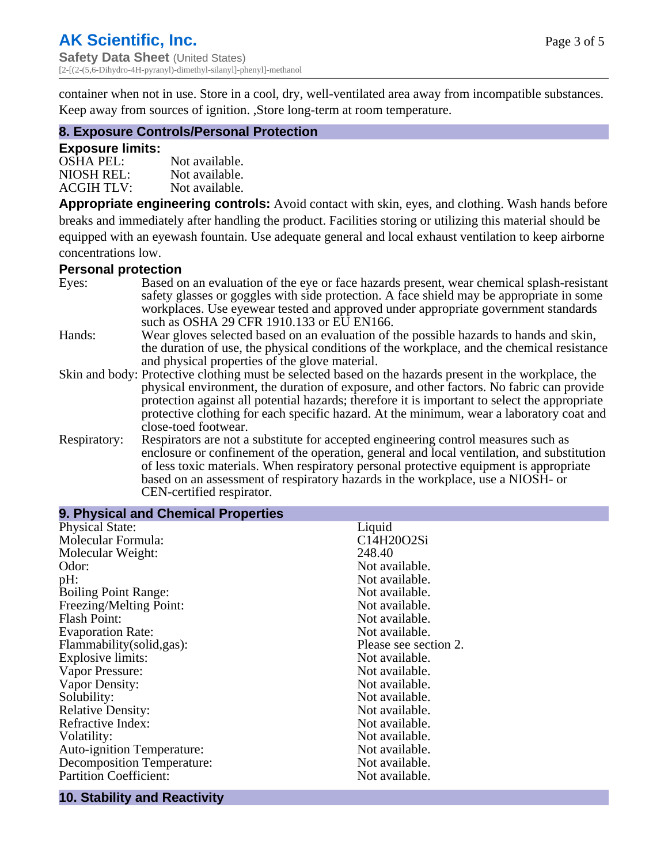container when not in use. Store in a cool, dry, well-ventilated area away from incompatible substances. Keep away from sources of ignition. ,Store long-term at room temperature.

#### **8. Exposure Controls/Personal Protection**

#### **Exposure limits:**

| <b>OSHA PEL:</b>  | Not available. |
|-------------------|----------------|
| NIOSH REL:        | Not available. |
| <b>ACGIH TLV:</b> | Not available. |

**Appropriate engineering controls:** Avoid contact with skin, eyes, and clothing. Wash hands before breaks and immediately after handling the product. Facilities storing or utilizing this material should be equipped with an eyewash fountain. Use adequate general and local exhaust ventilation to keep airborne concentrations low.

#### **Personal protection**

| Eyes:        | Based on an evaluation of the eye or face hazards present, wear chemical splash-resistant<br>safety glasses or goggles with side protection. A face shield may be appropriate in some |  |  |
|--------------|---------------------------------------------------------------------------------------------------------------------------------------------------------------------------------------|--|--|
|              | workplaces. Use eyewear tested and approved under appropriate government standards<br>such as OSHA 29 CFR 1910.133 or EU EN166.                                                       |  |  |
| Hands:       | Wear gloves selected based on an evaluation of the possible hazards to hands and skin,                                                                                                |  |  |
|              | the duration of use, the physical conditions of the workplace, and the chemical resistance                                                                                            |  |  |
|              | and physical properties of the glove material.                                                                                                                                        |  |  |
|              | Skin and body: Protective clothing must be selected based on the hazards present in the workplace, the                                                                                |  |  |
|              | physical environment, the duration of exposure, and other factors. No fabric can provide                                                                                              |  |  |
|              | protection against all potential hazards; therefore it is important to select the appropriate                                                                                         |  |  |
|              | protective clothing for each specific hazard. At the minimum, wear a laboratory coat and                                                                                              |  |  |
|              | close-toed footwear.                                                                                                                                                                  |  |  |
| Respiratory: | Respirators are not a substitute for accepted engineering control measures such as<br>enclosure or confinement of the operation, general and local ventilation, and substitution      |  |  |
|              | of less toxic materials. When respiratory personal protective equipment is appropriate                                                                                                |  |  |
|              | based on an assessment of respiratory hazards in the workplace, use a NIOSH- or                                                                                                       |  |  |
|              | CEN-certified respirator.                                                                                                                                                             |  |  |

| <b>Physical State:</b><br>Liquid<br>Molecular Formula:<br>C14H20O2Si<br>Molecular Weight:<br>248.40<br>Odor:<br>Not available.<br>Not available.<br>pH:<br><b>Boiling Point Range:</b><br>Not available.<br>Freezing/Melting Point:<br>Not available.<br><b>Flash Point:</b><br>Not available.<br><b>Evaporation Rate:</b><br>Not available.<br>Flammability(solid,gas):<br>Please see section 2.<br><b>Explosive limits:</b><br>Not available.<br>Vapor Pressure:<br>Not available.<br>Vapor Density:<br>Not available.<br>Solubility:<br>Not available.<br><b>Relative Density:</b><br>Not available.<br>Refractive Index:<br>Not available.<br>Not available.<br>Volatility:<br>Not available.<br><b>Auto-ignition Temperature:</b><br><b>Decomposition Temperature:</b><br>Not available.<br><b>Partition Coefficient:</b><br>Not available. | 9. Physical and Chemical Properties |  |
|--------------------------------------------------------------------------------------------------------------------------------------------------------------------------------------------------------------------------------------------------------------------------------------------------------------------------------------------------------------------------------------------------------------------------------------------------------------------------------------------------------------------------------------------------------------------------------------------------------------------------------------------------------------------------------------------------------------------------------------------------------------------------------------------------------------------------------------------------|-------------------------------------|--|
|                                                                                                                                                                                                                                                                                                                                                                                                                                                                                                                                                                                                                                                                                                                                                                                                                                                  |                                     |  |
|                                                                                                                                                                                                                                                                                                                                                                                                                                                                                                                                                                                                                                                                                                                                                                                                                                                  |                                     |  |
|                                                                                                                                                                                                                                                                                                                                                                                                                                                                                                                                                                                                                                                                                                                                                                                                                                                  |                                     |  |
|                                                                                                                                                                                                                                                                                                                                                                                                                                                                                                                                                                                                                                                                                                                                                                                                                                                  |                                     |  |
|                                                                                                                                                                                                                                                                                                                                                                                                                                                                                                                                                                                                                                                                                                                                                                                                                                                  |                                     |  |
|                                                                                                                                                                                                                                                                                                                                                                                                                                                                                                                                                                                                                                                                                                                                                                                                                                                  |                                     |  |
|                                                                                                                                                                                                                                                                                                                                                                                                                                                                                                                                                                                                                                                                                                                                                                                                                                                  |                                     |  |
|                                                                                                                                                                                                                                                                                                                                                                                                                                                                                                                                                                                                                                                                                                                                                                                                                                                  |                                     |  |
|                                                                                                                                                                                                                                                                                                                                                                                                                                                                                                                                                                                                                                                                                                                                                                                                                                                  |                                     |  |
|                                                                                                                                                                                                                                                                                                                                                                                                                                                                                                                                                                                                                                                                                                                                                                                                                                                  |                                     |  |
|                                                                                                                                                                                                                                                                                                                                                                                                                                                                                                                                                                                                                                                                                                                                                                                                                                                  |                                     |  |
|                                                                                                                                                                                                                                                                                                                                                                                                                                                                                                                                                                                                                                                                                                                                                                                                                                                  |                                     |  |
|                                                                                                                                                                                                                                                                                                                                                                                                                                                                                                                                                                                                                                                                                                                                                                                                                                                  |                                     |  |
|                                                                                                                                                                                                                                                                                                                                                                                                                                                                                                                                                                                                                                                                                                                                                                                                                                                  |                                     |  |
|                                                                                                                                                                                                                                                                                                                                                                                                                                                                                                                                                                                                                                                                                                                                                                                                                                                  |                                     |  |
|                                                                                                                                                                                                                                                                                                                                                                                                                                                                                                                                                                                                                                                                                                                                                                                                                                                  |                                     |  |
|                                                                                                                                                                                                                                                                                                                                                                                                                                                                                                                                                                                                                                                                                                                                                                                                                                                  |                                     |  |
|                                                                                                                                                                                                                                                                                                                                                                                                                                                                                                                                                                                                                                                                                                                                                                                                                                                  |                                     |  |
|                                                                                                                                                                                                                                                                                                                                                                                                                                                                                                                                                                                                                                                                                                                                                                                                                                                  |                                     |  |
|                                                                                                                                                                                                                                                                                                                                                                                                                                                                                                                                                                                                                                                                                                                                                                                                                                                  |                                     |  |

# **10. Stability and Reactivity**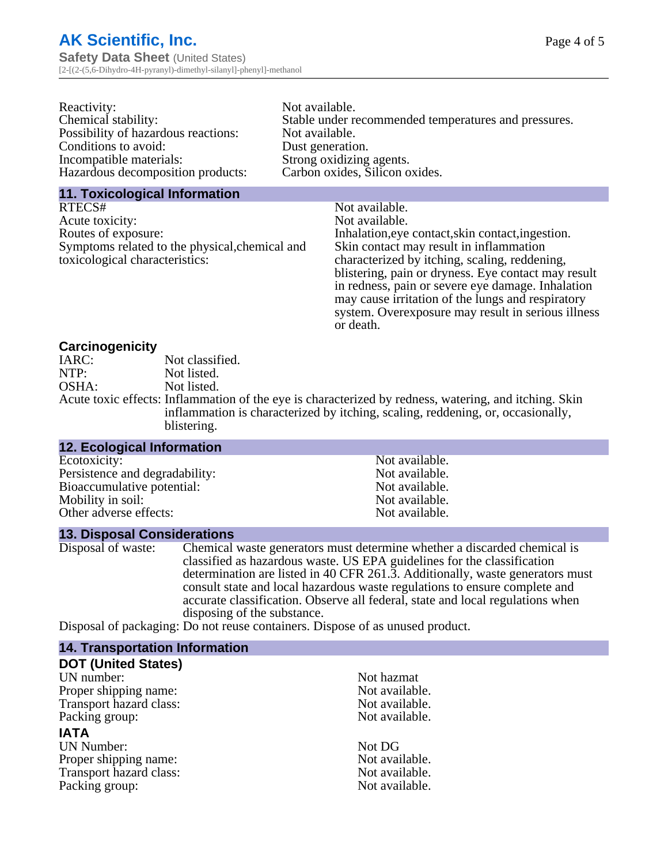| Reactivity:                         | Not available.                                       |
|-------------------------------------|------------------------------------------------------|
| Chemical stability:                 | Stable under recommended temperatures and pressures. |
| Possibility of hazardous reactions: | Not available.                                       |
| Conditions to avoid:                | Dust generation.                                     |
| Incompatible materials:             | Strong oxidizing agents.                             |
| Hazardous decomposition products:   | Carbon oxides, Silicon oxides.                       |
|                                     |                                                      |

#### **11. Toxicological Information**

| RTECS#                                         | Not available.                                      |
|------------------------------------------------|-----------------------------------------------------|
| Acute toxicity:                                | Not available.                                      |
| Routes of exposure:                            | Inhalation, eye contact, skin contact, ingestion.   |
| Symptoms related to the physical, chemical and | Skin contact may result in inflammation             |
| toxicological characteristics:                 | characterized by itching, scaling, reddening,       |
|                                                | blistering, pain or dryness. Eye contact may result |
|                                                | in redness, pain or severe eye damage. Inhalation   |
|                                                | may cause irritation of the lungs and respiratory   |
|                                                | system. Overexposure may result in serious illness  |

or death.

#### **Carcinogenicity**

| IARC: | Not classified.                                                                                       |
|-------|-------------------------------------------------------------------------------------------------------|
| NTP:  | Not listed.                                                                                           |
| OSHA: | Not listed.                                                                                           |
|       | Acute toxic effects: Inflammation of the eye is characterized by redness, watering, and itching. Skin |
|       | inflammation is characterized by itching, scaling, reddening, or, occasionally,                       |
|       | blistering.                                                                                           |

| 12. Ecological Information     |                |  |
|--------------------------------|----------------|--|
| Ecotoxicity:                   | Not available. |  |
| Persistence and degradability: | Not available. |  |
| Bioaccumulative potential:     | Not available. |  |
| Mobility in soil:              | Not available. |  |
| Other adverse effects:         | Not available. |  |
|                                |                |  |

#### **13. Disposal Considerations**

Disposal of waste: Chemical waste generators must determine whether a discarded chemical is classified as hazardous waste. US EPA guidelines for the classification determination are listed in 40 CFR 261.3. Additionally, waste generators must consult state and local hazardous waste regulations to ensure complete and accurate classification. Observe all federal, state and local regulations when disposing of the substance.

Disposal of packaging: Do not reuse containers. Dispose of as unused product.

| <b>14. Transportation Information</b> |                |
|---------------------------------------|----------------|
| <b>DOT (United States)</b>            |                |
| UN number:                            | Not hazmat     |
| Proper shipping name:                 | Not available. |
| Transport hazard class:               | Not available. |
| Packing group:                        | Not available. |
| <b>IATA</b>                           |                |
| <b>UN Number:</b>                     | Not DG         |
| Proper shipping name:                 | Not available. |
| Transport hazard class:               | Not available. |
| Packing group:                        | Not available. |